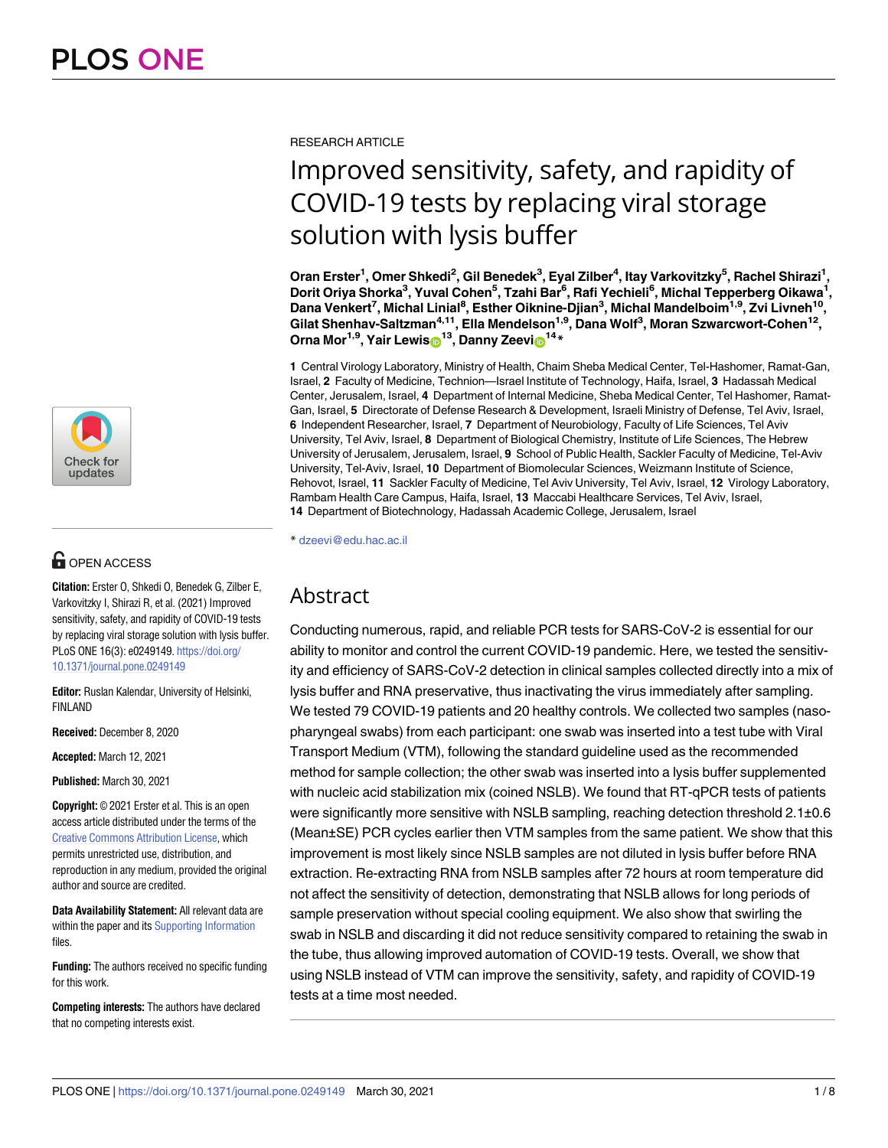

# **OPEN ACCESS**

**Citation:** Erster O, Shkedi O, Benedek G, Zilber E, Varkovitzky I, Shirazi R, et al. (2021) Improved sensitivity, safety, and rapidity of COVID-19 tests by replacing viral storage solution with lysis buffer. PLoS ONE 16(3): e0249149. [https://doi.org/](https://doi.org/10.1371/journal.pone.0249149) [10.1371/journal.pone.0249149](https://doi.org/10.1371/journal.pone.0249149)

**Editor:** Ruslan Kalendar, University of Helsinki, FINLAND

**Received:** December 8, 2020

**Accepted:** March 12, 2021

**Published:** March 30, 2021

**Copyright:** © 2021 Erster et al. This is an open access article distributed under the terms of the Creative Commons [Attribution](http://creativecommons.org/licenses/by/4.0/) License, which permits unrestricted use, distribution, and reproduction in any medium, provided the original author and source are credited.

**Data Availability Statement:** All relevant data are within the paper and its Supporting [Information](#page-6-0) files.

**Funding:** The authors received no specific funding for this work.

**Competing interests:** The authors have declared that no competing interests exist.

RESEARCH ARTICLE

# Improved sensitivity, safety, and rapidity of COVID-19 tests by replacing viral storage solution with lysis buffer

**Oran Erster1 , Omer Shkedi2 , Gil Benedek3 , Eyal Zilber4 , Itay Varkovitzky5 , Rachel Shirazi1 , Dorit Oriya Shorka3 , Yuval Cohen5 , Tzahi Bar6 , Rafi Yechieli6 , Michal Tepperberg Oikawa1 , Dana Venkert7 , Michal Linial8 , Esther Oiknine-Djian3 , Michal Mandelboim1,9, Zvi Livneh10, Gilat Shenhav-Saltzman4,11, Ella Mendelson1,9, Dana Wolf3 , Moran Szwarcwort-Cohen12, Orna** Mor<sup>1,9</sup>, Yair Lewis<sup>13</sup>, Danny Zeevi<sup>14</sup>\*

**1** Central Virology Laboratory, Ministry of Health, Chaim Sheba Medical Center, Tel-Hashomer, Ramat-Gan, Israel, **2** Faculty of Medicine, Technion—Israel Institute of Technology, Haifa, Israel, **3** Hadassah Medical Center, Jerusalem, Israel, **4** Department of Internal Medicine, Sheba Medical Center, Tel Hashomer, Ramat-Gan, Israel, **5** Directorate of Defense Research & Development, Israeli Ministry of Defense, Tel Aviv, Israel, **6** Independent Researcher, Israel, **7** Department of Neurobiology, Faculty of Life Sciences, Tel Aviv University, Tel Aviv, Israel, **8** Department of Biological Chemistry, Institute of Life Sciences, The Hebrew University of Jerusalem, Jerusalem, Israel, **9** School of Public Health, Sackler Faculty of Medicine, Tel-Aviv University, Tel-Aviv, Israel, **10** Department of Biomolecular Sciences, Weizmann Institute of Science, Rehovot, Israel, **11** Sackler Faculty of Medicine, Tel Aviv University, Tel Aviv, Israel, **12** Virology Laboratory, Rambam Health Care Campus, Haifa, Israel, **13** Maccabi Healthcare Services, Tel Aviv, Israel, **14** Department of Biotechnology, Hadassah Academic College, Jerusalem, Israel

\* dzeevi@edu.hac.ac.il

# Abstract

Conducting numerous, rapid, and reliable PCR tests for SARS-CoV-2 is essential for our ability to monitor and control the current COVID-19 pandemic. Here, we tested the sensitivity and efficiency of SARS-CoV-2 detection in clinical samples collected directly into a mix of lysis buffer and RNA preservative, thus inactivating the virus immediately after sampling. We tested 79 COVID-19 patients and 20 healthy controls. We collected two samples (nasopharyngeal swabs) from each participant: one swab was inserted into a test tube with Viral Transport Medium (VTM), following the standard guideline used as the recommended method for sample collection; the other swab was inserted into a lysis buffer supplemented with nucleic acid stabilization mix (coined NSLB). We found that RT-qPCR tests of patients were significantly more sensitive with NSLB sampling, reaching detection threshold 2.1±0.6 (Mean±SE) PCR cycles earlier then VTM samples from the same patient. We show that this improvement is most likely since NSLB samples are not diluted in lysis buffer before RNA extraction. Re-extracting RNA from NSLB samples after 72 hours at room temperature did not affect the sensitivity of detection, demonstrating that NSLB allows for long periods of sample preservation without special cooling equipment. We also show that swirling the swab in NSLB and discarding it did not reduce sensitivity compared to retaining the swab in the tube, thus allowing improved automation of COVID-19 tests. Overall, we show that using NSLB instead of VTM can improve the sensitivity, safety, and rapidity of COVID-19 tests at a time most needed.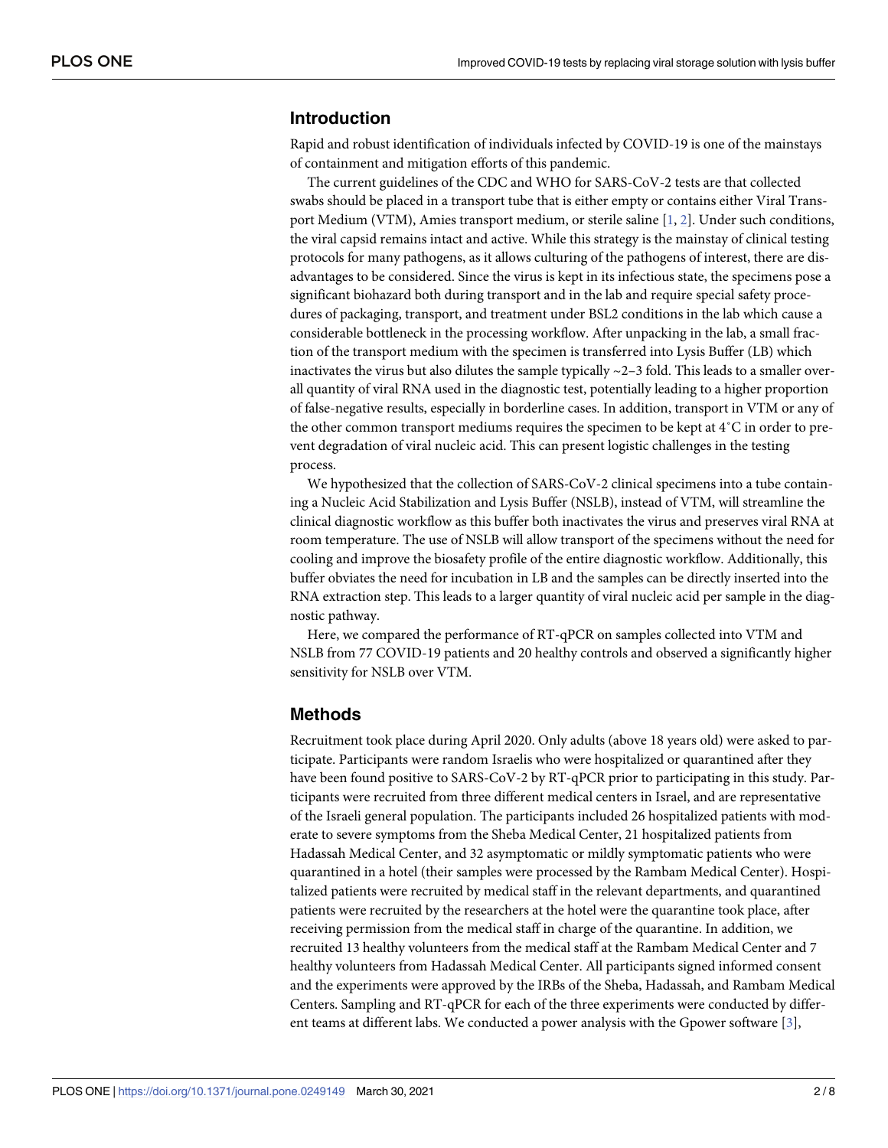#### <span id="page-1-0"></span>**Introduction**

Rapid and robust identification of individuals infected by COVID-19 is one of the mainstays of containment and mitigation efforts of this pandemic.

The current guidelines of the CDC and WHO for SARS-CoV-2 tests are that collected swabs should be placed in a transport tube that is either empty or contains either Viral Transport Medium (VTM), Amies transport medium, or sterile saline [\[1,](#page-7-0) [2\]](#page-7-0). Under such conditions, the viral capsid remains intact and active. While this strategy is the mainstay of clinical testing protocols for many pathogens, as it allows culturing of the pathogens of interest, there are disadvantages to be considered. Since the virus is kept in its infectious state, the specimens pose a significant biohazard both during transport and in the lab and require special safety procedures of packaging, transport, and treatment under BSL2 conditions in the lab which cause a considerable bottleneck in the processing workflow. After unpacking in the lab, a small fraction of the transport medium with the specimen is transferred into Lysis Buffer (LB) which inactivates the virus but also dilutes the sample typically  $\sim$  2–3 fold. This leads to a smaller overall quantity of viral RNA used in the diagnostic test, potentially leading to a higher proportion of false-negative results, especially in borderline cases. In addition, transport in VTM or any of the other common transport mediums requires the specimen to be kept at 4˚C in order to prevent degradation of viral nucleic acid. This can present logistic challenges in the testing process.

We hypothesized that the collection of SARS-CoV-2 clinical specimens into a tube containing a Nucleic Acid Stabilization and Lysis Buffer (NSLB), instead of VTM, will streamline the clinical diagnostic workflow as this buffer both inactivates the virus and preserves viral RNA at room temperature. The use of NSLB will allow transport of the specimens without the need for cooling and improve the biosafety profile of the entire diagnostic workflow. Additionally, this buffer obviates the need for incubation in LB and the samples can be directly inserted into the RNA extraction step. This leads to a larger quantity of viral nucleic acid per sample in the diagnostic pathway.

Here, we compared the performance of RT-qPCR on samples collected into VTM and NSLB from 77 COVID-19 patients and 20 healthy controls and observed a significantly higher sensitivity for NSLB over VTM.

#### **Methods**

Recruitment took place during April 2020. Only adults (above 18 years old) were asked to participate. Participants were random Israelis who were hospitalized or quarantined after they have been found positive to SARS-CoV-2 by RT-qPCR prior to participating in this study. Participants were recruited from three different medical centers in Israel, and are representative of the Israeli general population. The participants included 26 hospitalized patients with moderate to severe symptoms from the Sheba Medical Center, 21 hospitalized patients from Hadassah Medical Center, and 32 asymptomatic or mildly symptomatic patients who were quarantined in a hotel (their samples were processed by the Rambam Medical Center). Hospitalized patients were recruited by medical staff in the relevant departments, and quarantined patients were recruited by the researchers at the hotel were the quarantine took place, after receiving permission from the medical staff in charge of the quarantine. In addition, we recruited 13 healthy volunteers from the medical staff at the Rambam Medical Center and 7 healthy volunteers from Hadassah Medical Center. All participants signed informed consent and the experiments were approved by the IRBs of the Sheba, Hadassah, and Rambam Medical Centers. Sampling and RT-qPCR for each of the three experiments were conducted by different teams at different labs. We conducted a power analysis with the Gpower software [\[3\]](#page-7-0),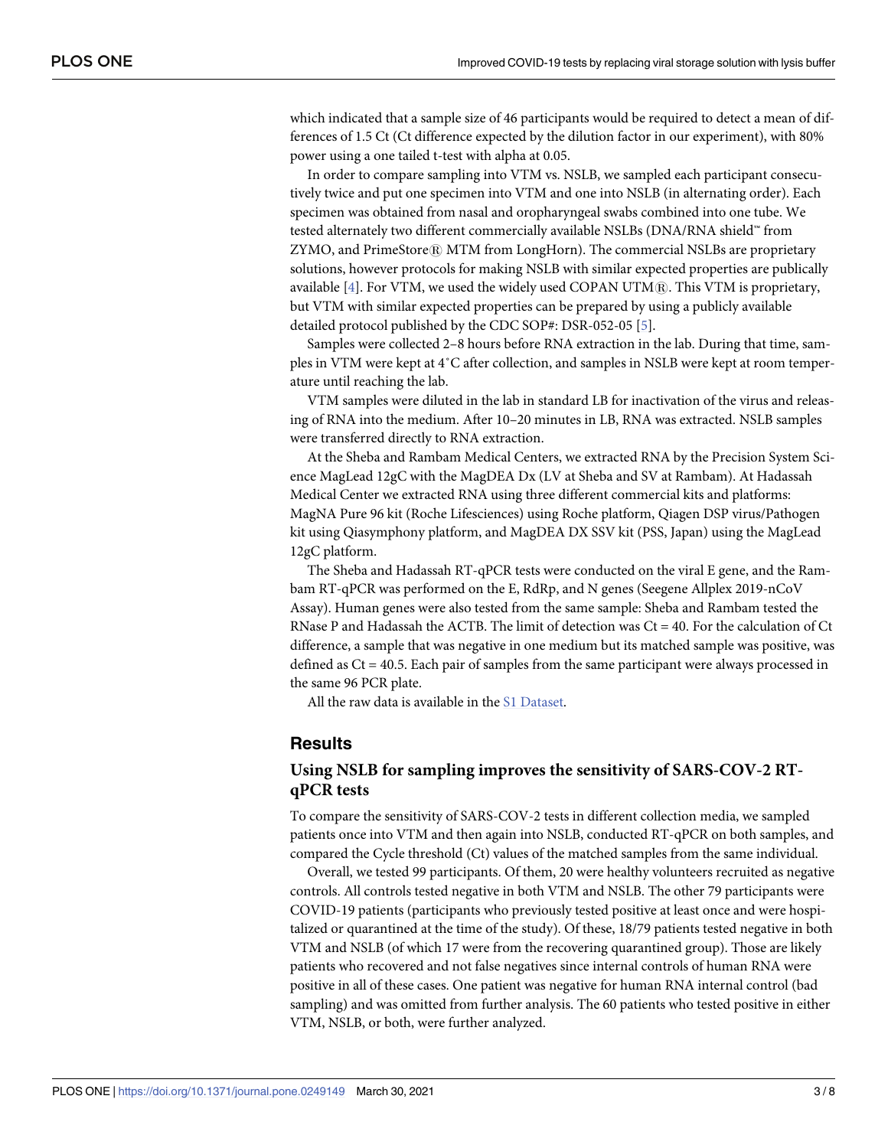<span id="page-2-0"></span>which indicated that a sample size of 46 participants would be required to detect a mean of differences of 1.5 Ct (Ct difference expected by the dilution factor in our experiment), with 80% power using a one tailed t-test with alpha at 0.05.

In order to compare sampling into VTM vs. NSLB, we sampled each participant consecutively twice and put one specimen into VTM and one into NSLB (in alternating order). Each specimen was obtained from nasal and oropharyngeal swabs combined into one tube. We tested alternately two different commercially available NSLBs (DNA/RNA shield™ from ZYMO, and PrimeStore® MTM from LongHorn). The commercial NSLBs are proprietary solutions, however protocols for making NSLB with similar expected properties are publically available  $[4]$ . For VTM, we used the widely used COPAN UTM $[6]$ . This VTM is proprietary, but VTM with similar expected properties can be prepared by using a publicly available detailed protocol published by the CDC SOP#: DSR-052-05 [\[5\]](#page-7-0).

Samples were collected 2–8 hours before RNA extraction in the lab. During that time, samples in VTM were kept at 4˚C after collection, and samples in NSLB were kept at room temperature until reaching the lab.

VTM samples were diluted in the lab in standard LB for inactivation of the virus and releasing of RNA into the medium. After 10–20 minutes in LB, RNA was extracted. NSLB samples were transferred directly to RNA extraction.

At the Sheba and Rambam Medical Centers, we extracted RNA by the Precision System Science MagLead 12gC with the MagDEA Dx (LV at Sheba and SV at Rambam). At Hadassah Medical Center we extracted RNA using three different commercial kits and platforms: MagNA Pure 96 kit (Roche Lifesciences) using Roche platform, Qiagen DSP virus/Pathogen kit using Qiasymphony platform, and MagDEA DX SSV kit (PSS, Japan) using the MagLead 12gC platform.

The Sheba and Hadassah RT-qPCR tests were conducted on the viral E gene, and the Rambam RT-qPCR was performed on the E, RdRp, and N genes (Seegene Allplex 2019-nCoV Assay). Human genes were also tested from the same sample: Sheba and Rambam tested the RNase P and Hadassah the ACTB. The limit of detection was Ct = 40. For the calculation of Ct difference, a sample that was negative in one medium but its matched sample was positive, was defined as  $Ct = 40.5$ . Each pair of samples from the same participant were always processed in the same 96 PCR plate.

All the raw data is available in the S1 [Dataset.](#page-6-0)

#### **Results**

### **Using NSLB for sampling improves the sensitivity of SARS-COV-2 RTqPCR tests**

To compare the sensitivity of SARS-COV-2 tests in different collection media, we sampled patients once into VTM and then again into NSLB, conducted RT-qPCR on both samples, and compared the Cycle threshold (Ct) values of the matched samples from the same individual.

Overall, we tested 99 participants. Of them, 20 were healthy volunteers recruited as negative controls. All controls tested negative in both VTM and NSLB. The other 79 participants were COVID-19 patients (participants who previously tested positive at least once and were hospitalized or quarantined at the time of the study). Of these, 18/79 patients tested negative in both VTM and NSLB (of which 17 were from the recovering quarantined group). Those are likely patients who recovered and not false negatives since internal controls of human RNA were positive in all of these cases. One patient was negative for human RNA internal control (bad sampling) and was omitted from further analysis. The 60 patients who tested positive in either VTM, NSLB, or both, were further analyzed.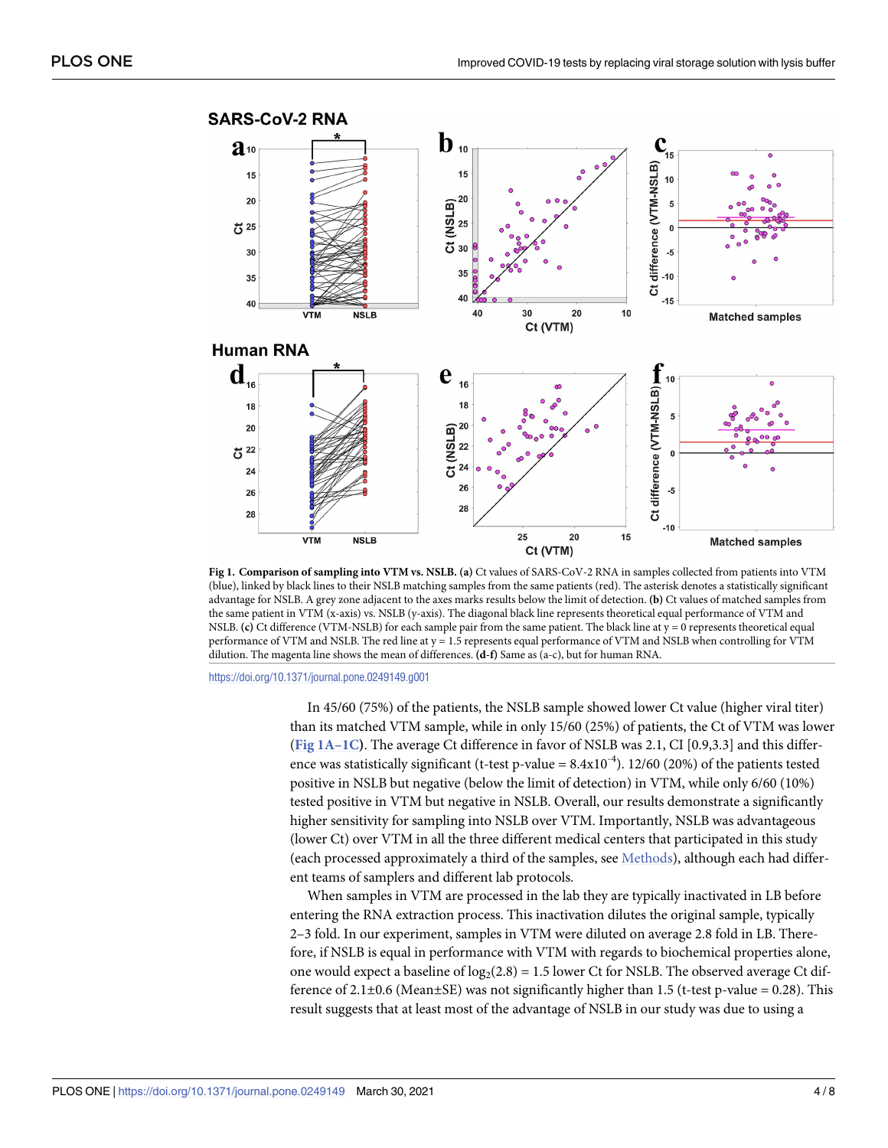<span id="page-3-0"></span>

**Fig 1. Comparison of sampling into VTM vs. NSLB. (a)** Ct values of SARS-CoV-2 RNA in samples collected from patients into VTM (blue), linked by black lines to their NSLB matching samples from the same patients (red). The asterisk denotes a statistically significant advantage for NSLB. A grey zone adjacent to the axes marks results below the limit of detection. **(b)** Ct values of matched samples from the same patient in VTM (x-axis) vs. NSLB (y-axis). The diagonal black line represents theoretical equal performance of VTM and NSLB. **(c)** Ct difference (VTM-NSLB) for each sample pair from the same patient. The black line at y = 0 represents theoretical equal performance of VTM and NSLB. The red line at y = 1.5 represents equal performance of VTM and NSLB when controlling for VTM dilution. The magenta line shows the mean of differences. **(d-f)** Same as (a-c), but for human RNA.

<https://doi.org/10.1371/journal.pone.0249149.g001>

In 45/60 (75%) of the patients, the NSLB sample showed lower Ct value (higher viral titer) than its matched VTM sample, while in only 15/60 (25%) of patients, the Ct of VTM was lower (**Fig 1A–1C)**. The average Ct difference in favor of NSLB was 2.1, CI [0.9,3.3] and this difference was statistically significant (t-test p-value =  $8.4 \times 10^{-4}$ ). 12/60 (20%) of the patients tested positive in NSLB but negative (below the limit of detection) in VTM, while only 6/60 (10%) tested positive in VTM but negative in NSLB. Overall, our results demonstrate a significantly higher sensitivity for sampling into NSLB over VTM. Importantly, NSLB was advantageous (lower Ct) over VTM in all the three different medical centers that participated in this study (each processed approximately a third of the samples, see [Methods\)](#page-1-0), although each had different teams of samplers and different lab protocols.

When samples in VTM are processed in the lab they are typically inactivated in LB before entering the RNA extraction process. This inactivation dilutes the original sample, typically 2–3 fold. In our experiment, samples in VTM were diluted on average 2.8 fold in LB. Therefore, if NSLB is equal in performance with VTM with regards to biochemical properties alone, one would expect a baseline of  $log_2(2.8) = 1.5$  lower Ct for NSLB. The observed average Ct difference of 2.1 $\pm$ 0.6 (Mean $\pm$ SE) was not significantly higher than 1.5 (t-test p-value = 0.28). This result suggests that at least most of the advantage of NSLB in our study was due to using a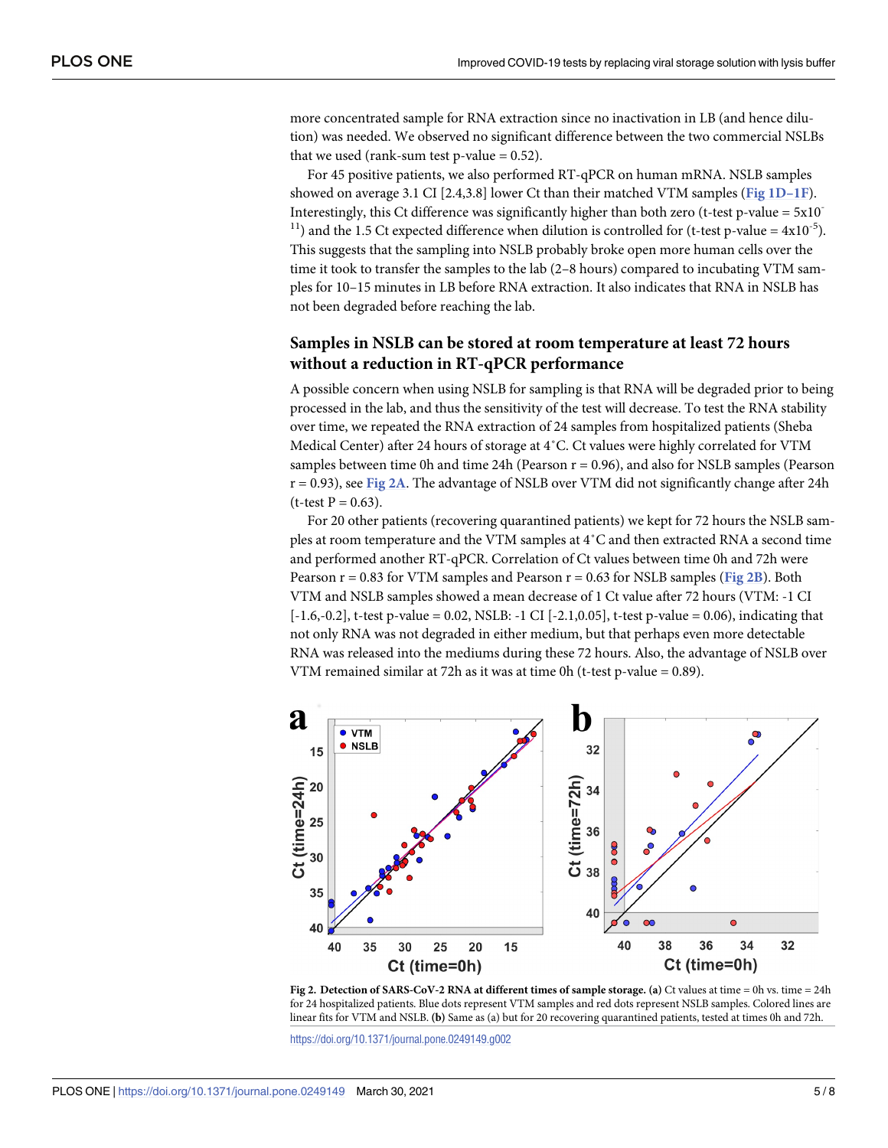more concentrated sample for RNA extraction since no inactivation in LB (and hence dilution) was needed. We observed no significant difference between the two commercial NSLBs that we used (rank-sum test p-value  $= 0.52$ ).

For 45 positive patients, we also performed RT-qPCR on human mRNA. NSLB samples showed on average 3.1 CI [2.4,3.8] lower Ct than their matched VTM samples (**Fig [1D–1F](#page-3-0)**). Interestingly, this Ct difference was significantly higher than both zero (t-test p-value =  $5x10$ <sup>-</sup> <sup>11</sup>) and the 1.5 Ct expected difference when dilution is controlled for (t-test p-value =  $4x10^{-5}$ ). This suggests that the sampling into NSLB probably broke open more human cells over the time it took to transfer the samples to the lab (2–8 hours) compared to incubating VTM samples for 10–15 minutes in LB before RNA extraction. It also indicates that RNA in NSLB has not been degraded before reaching the lab.

## **Samples in NSLB can be stored at room temperature at least 72 hours without a reduction in RT-qPCR performance**

A possible concern when using NSLB for sampling is that RNA will be degraded prior to being processed in the lab, and thus the sensitivity of the test will decrease. To test the RNA stability over time, we repeated the RNA extraction of 24 samples from hospitalized patients (Sheba Medical Center) after 24 hours of storage at 4˚C. Ct values were highly correlated for VTM samples between time 0h and time 24h (Pearson  $r = 0.96$ ), and also for NSLB samples (Pearson r = 0.93), see **Fig 2A**. The advantage of NSLB over VTM did not significantly change after 24h  $(t-test P = 0.63)$ .

For 20 other patients (recovering quarantined patients) we kept for 72 hours the NSLB samples at room temperature and the VTM samples at 4˚C and then extracted RNA a second time and performed another RT-qPCR. Correlation of Ct values between time 0h and 72h were Pearson r = 0.83 for VTM samples and Pearson r = 0.63 for NSLB samples (**Fig 2B**). Both VTM and NSLB samples showed a mean decrease of 1 Ct value after 72 hours (VTM: -1 CI  $[-1.6,-0.2]$ , t-test p-value = 0.02, NSLB: -1 CI  $[-2.1,0.05]$ , t-test p-value = 0.06), indicating that not only RNA was not degraded in either medium, but that perhaps even more detectable RNA was released into the mediums during these 72 hours. Also, the advantage of NSLB over VTM remained similar at 72h as it was at time 0h (t-test p-value = 0.89).



**Fig 2. Detection of SARS-CoV-2 RNA at different times of sample storage. (a)** Ct values at time = 0h vs. time = 24h for 24 hospitalized patients. Blue dots represent VTM samples and red dots represent NSLB samples. Colored lines are linear fits for VTM and NSLB. **(b)** Same as (a) but for 20 recovering quarantined patients, tested at times 0h and 72h.

<https://doi.org/10.1371/journal.pone.0249149.g002>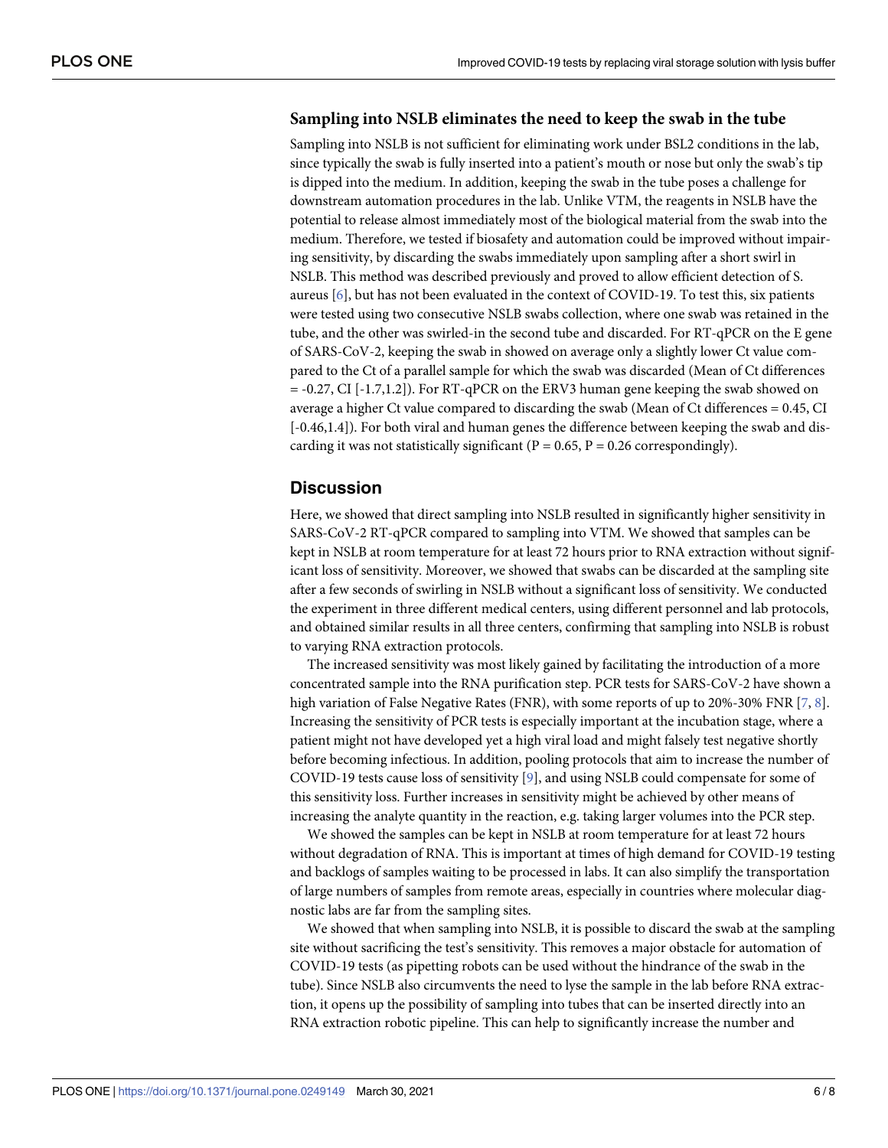#### <span id="page-5-0"></span>**Sampling into NSLB eliminates the need to keep the swab in the tube**

Sampling into NSLB is not sufficient for eliminating work under BSL2 conditions in the lab, since typically the swab is fully inserted into a patient's mouth or nose but only the swab's tip is dipped into the medium. In addition, keeping the swab in the tube poses a challenge for downstream automation procedures in the lab. Unlike VTM, the reagents in NSLB have the potential to release almost immediately most of the biological material from the swab into the medium. Therefore, we tested if biosafety and automation could be improved without impairing sensitivity, by discarding the swabs immediately upon sampling after a short swirl in NSLB. This method was described previously and proved to allow efficient detection of S. aureus [\[6\]](#page-7-0), but has not been evaluated in the context of COVID-19. To test this, six patients were tested using two consecutive NSLB swabs collection, where one swab was retained in the tube, and the other was swirled-in the second tube and discarded. For RT-qPCR on the E gene of SARS-CoV-2, keeping the swab in showed on average only a slightly lower Ct value compared to the Ct of a parallel sample for which the swab was discarded (Mean of Ct differences  $= -0.27$ , CI  $[-1.7,1.2]$ . For RT-qPCR on the ERV3 human gene keeping the swab showed on average a higher Ct value compared to discarding the swab (Mean of Ct differences = 0.45, CI [-0.46,1.4]). For both viral and human genes the difference between keeping the swab and discarding it was not statistically significant ( $P = 0.65$ ,  $P = 0.26$  correspondingly).

#### **Discussion**

Here, we showed that direct sampling into NSLB resulted in significantly higher sensitivity in SARS-CoV-2 RT-qPCR compared to sampling into VTM. We showed that samples can be kept in NSLB at room temperature for at least 72 hours prior to RNA extraction without significant loss of sensitivity. Moreover, we showed that swabs can be discarded at the sampling site after a few seconds of swirling in NSLB without a significant loss of sensitivity. We conducted the experiment in three different medical centers, using different personnel and lab protocols, and obtained similar results in all three centers, confirming that sampling into NSLB is robust to varying RNA extraction protocols.

The increased sensitivity was most likely gained by facilitating the introduction of a more concentrated sample into the RNA purification step. PCR tests for SARS-CoV-2 have shown a high variation of False Negative Rates (FNR), with some reports of up to 20%-30% FNR [[7](#page-7-0), [8\]](#page-7-0). Increasing the sensitivity of PCR tests is especially important at the incubation stage, where a patient might not have developed yet a high viral load and might falsely test negative shortly before becoming infectious. In addition, pooling protocols that aim to increase the number of COVID-19 tests cause loss of sensitivity [\[9\]](#page-7-0), and using NSLB could compensate for some of this sensitivity loss. Further increases in sensitivity might be achieved by other means of increasing the analyte quantity in the reaction, e.g. taking larger volumes into the PCR step.

We showed the samples can be kept in NSLB at room temperature for at least 72 hours without degradation of RNA. This is important at times of high demand for COVID-19 testing and backlogs of samples waiting to be processed in labs. It can also simplify the transportation of large numbers of samples from remote areas, especially in countries where molecular diagnostic labs are far from the sampling sites.

We showed that when sampling into NSLB, it is possible to discard the swab at the sampling site without sacrificing the test's sensitivity. This removes a major obstacle for automation of COVID-19 tests (as pipetting robots can be used without the hindrance of the swab in the tube). Since NSLB also circumvents the need to lyse the sample in the lab before RNA extraction, it opens up the possibility of sampling into tubes that can be inserted directly into an RNA extraction robotic pipeline. This can help to significantly increase the number and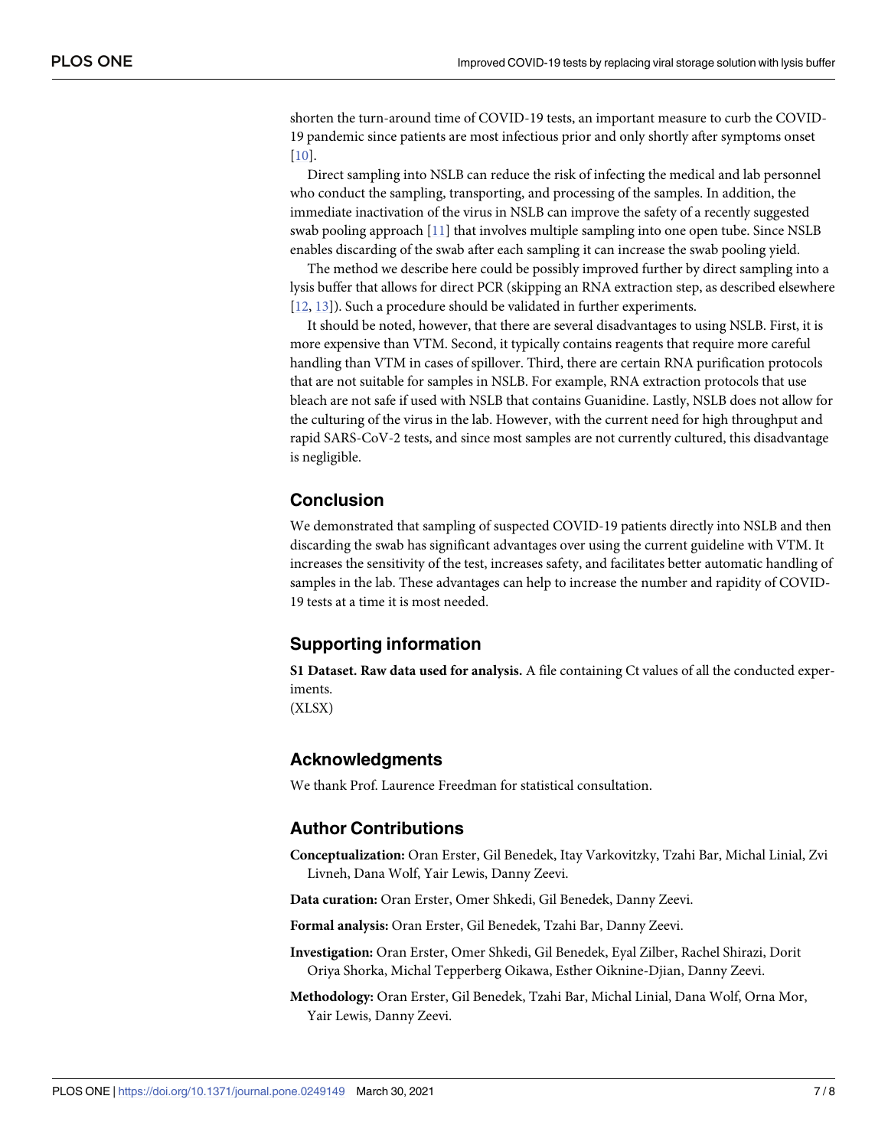<span id="page-6-0"></span>shorten the turn-around time of COVID-19 tests, an important measure to curb the COVID-19 pandemic since patients are most infectious prior and only shortly after symptoms onset [\[10\]](#page-7-0).

Direct sampling into NSLB can reduce the risk of infecting the medical and lab personnel who conduct the sampling, transporting, and processing of the samples. In addition, the immediate inactivation of the virus in NSLB can improve the safety of a recently suggested swab pooling approach [[11](#page-7-0)] that involves multiple sampling into one open tube. Since NSLB enables discarding of the swab after each sampling it can increase the swab pooling yield.

The method we describe here could be possibly improved further by direct sampling into a lysis buffer that allows for direct PCR (skipping an RNA extraction step, as described elsewhere [\[12,](#page-7-0) [13\]](#page-7-0)). Such a procedure should be validated in further experiments.

It should be noted, however, that there are several disadvantages to using NSLB. First, it is more expensive than VTM. Second, it typically contains reagents that require more careful handling than VTM in cases of spillover. Third, there are certain RNA purification protocols that are not suitable for samples in NSLB. For example, RNA extraction protocols that use bleach are not safe if used with NSLB that contains Guanidine. Lastly, NSLB does not allow for the culturing of the virus in the lab. However, with the current need for high throughput and rapid SARS-CoV-2 tests, and since most samples are not currently cultured, this disadvantage is negligible.

## **Conclusion**

We demonstrated that sampling of suspected COVID-19 patients directly into NSLB and then discarding the swab has significant advantages over using the current guideline with VTM. It increases the sensitivity of the test, increases safety, and facilitates better automatic handling of samples in the lab. These advantages can help to increase the number and rapidity of COVID-19 tests at a time it is most needed.

## **Supporting information**

**S1 [Dataset.](http://www.plosone.org/article/fetchSingleRepresentation.action?uri=info:doi/10.1371/journal.pone.0249149.s001) Raw data used for analysis.** A file containing Ct values of all the conducted experiments. (XLSX)

#### **Acknowledgments**

We thank Prof. Laurence Freedman for statistical consultation.

#### **Author Contributions**

**Conceptualization:** Oran Erster, Gil Benedek, Itay Varkovitzky, Tzahi Bar, Michal Linial, Zvi Livneh, Dana Wolf, Yair Lewis, Danny Zeevi.

**Data curation:** Oran Erster, Omer Shkedi, Gil Benedek, Danny Zeevi.

**Formal analysis:** Oran Erster, Gil Benedek, Tzahi Bar, Danny Zeevi.

- **Investigation:** Oran Erster, Omer Shkedi, Gil Benedek, Eyal Zilber, Rachel Shirazi, Dorit Oriya Shorka, Michal Tepperberg Oikawa, Esther Oiknine-Djian, Danny Zeevi.
- **Methodology:** Oran Erster, Gil Benedek, Tzahi Bar, Michal Linial, Dana Wolf, Orna Mor, Yair Lewis, Danny Zeevi.